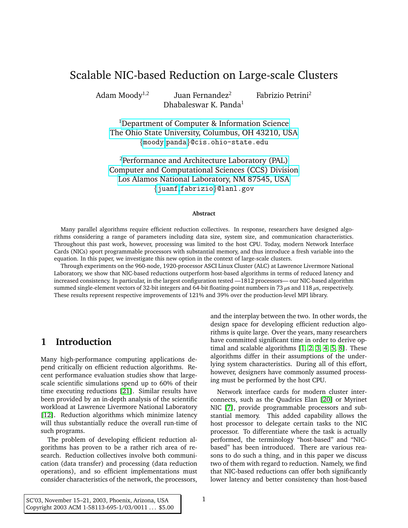# Scalable NIC-based Reduction on Large-scale Clusters

Adam Mood $v^{1,2}$ 

Juan Fernandez<sup>2</sup> Fabrizio Petrini<sup>2</sup> Dhabaleswar K. Panda<sup>1</sup>

<sup>1</sup>[Department of Computer & Information Science](http://www.cis.ohio-state.edu/) [The Ohio State University, Columbus, OH 43210, USA](http://www.ohio-state.edu/) {[moody](mailto:moody.64@osu.edu),[panda](mailto:panda@cis.ohio-state.edu)}@cis.ohio-state.edu

 $2$ [Performance and Architecture Laboratory \(PAL\)](http://www.c3.lanl.gov/) [Computer and Computational Sciences \(CCS\) Division](http://www.ccs.lanl.gov/) [Los Alamos National Laboratory, NM 87545, USA](http://www.lanl.gov/) {[juanf](mailto:juanf@lanl.gov),[fabrizio](mailto:fabrizio@lanl.gov)}@lanl.gov

#### **Abstract**

Many parallel algorithms require efficient reduction collectives. In response, researchers have designed algorithms considering a range of parameters including data size, system size, and communication characteristics. Throughout this past work, however, processing was limited to the host CPU. Today, modern Network Interface Cards (NICs) sport programmable processors with substantial memory, and thus introduce a fresh variable into the equation. In this paper, we investigate this new option in the context of large-scale clusters.

Through experiments on the 960-node, 1920-processor ASCI Linux Cluster (ALC) at Lawrence Livermore National Laboratory, we show that NIC-based reductions outperform host-based algorithms in terms of reduced latency and increased consistency. In particular, in the largest configuration tested —1812 processors— our NIC-based algorithm summed single-element vectors of 32-bit integers and 64-bit floating-point numbers in 73  $\mu$ s and 118  $\mu$ s, respectively. These results represent respective improvements of 121% and 39% over the production-level MPI library.

# **1 Introduction**

Many high-performance computing applications depend critically on efficient reduction algorithms. Recent performance evaluation studies show that largescale scientific simulations spend up to 60% of their time executing reductions [\[21\]](#page-16-0). Similar results have been provided by an in-depth analysis of the scientific workload at Lawrence Livermore National Laboratory [\[12\]](#page-15-0). Reduction algorithms which minimize latency will thus substantially reduce the overall run-time of such programs.

The problem of developing efficient reduction algorithms has proven to be a rather rich area of research. Reduction collectives involve both communication (data transfer) and processing (data reduction operations), and so efficient implementations must consider characteristics of the network, the processors, and the interplay between the two. In other words, the design space for developing efficient reduction algorithms is quite large. Over the years, many researchers have committed significant time in order to derive optimal and scalable algorithms [\[1,](#page-14-0) [2,](#page-14-1) [3,](#page-14-2) [4,](#page-14-3) [5,](#page-14-4) [8\]](#page-15-1). These algorithms differ in their assumptions of the underlying system characteristics. During all of this effort, however, designers have commonly assumed processing must be performed by the host CPU.

Network interface cards for modern cluster interconnects, such as the Quadrics Elan [\[20\]](#page-15-2) or Myrinet NIC [\[7\]](#page-15-3), provide programmable processors and substantial memory. This added capability allows the host processor to delegate certain tasks to the NIC processor. To differentiate where the task is actually performed, the terminology "host-based" and "NICbased" has been introduced. There are various reasons to do such a thing, and in this paper we discuss two of them with regard to reduction. Namely, we find that NIC-based reductions can offer both significantly lower latency and better consistency than host-based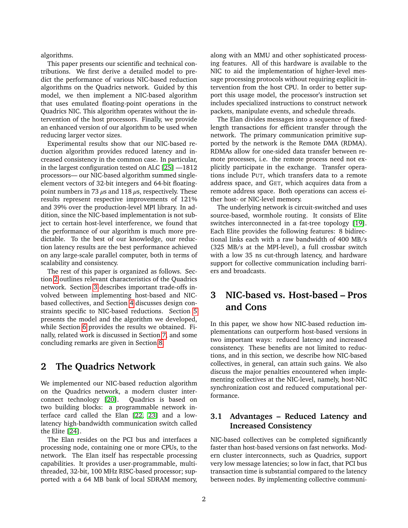algorithms.

This paper presents our scientific and technical contributions. We first derive a detailed model to predict the performance of various NIC-based reduction algorithms on the Quadrics network. Guided by this model, we then implement a NIC-based algorithm that uses emulated floating-point operations in the Quadrics NIC. This algorithm operates without the intervention of the host processors. Finally, we provide an enhanced version of our algorithm to be used when reducing larger vector sizes.

Experimental results show that our NIC-based reduction algorithm provides reduced latency and increased consistency in the common case. In particular, in the largest configuration tested on ALC [\[25\]](#page-16-1) —1812 processors— our NIC-based algorithm summed singleelement vectors of 32-bit integers and 64-bit floatingpoint numbers in 73  $\mu$ s and 118  $\mu$ s, respectively. These results represent respective improvements of 121% and 39% over the production-level MPI library. In addition, since the NIC-based implementation is not subject to certain host-level interference, we found that the performance of our algorithm is much more predictable. To the best of our knowledge, our reduction latency results are the best performance achieved on any large-scale parallel computer, both in terms of scalability and consistency.

The rest of this paper is organized as follows. Section [2](#page-1-0) outlines relevant characteristics of the Quadrics network. Section [3](#page-1-1) describes important trade-offs involved between implementing host-based and NICbased collectives, and Section [4](#page-3-0) discusses design constraints specific to NIC-based reductions. Section [5](#page-4-0) presents the model and the algorithm we developed, while Section [6](#page-9-0) provides the results we obtained. Finally, related work is discussed in Section [7,](#page-13-0) and some concluding remarks are given in Section [8.](#page-14-5)

## <span id="page-1-0"></span>**2 The Quadrics Network**

We implemented our NIC-based reduction algorithm on the Quadrics network, a modern cluster interconnect technology [\[20\]](#page-15-2). Quadrics is based on two building blocks: a programmable network interface card called the Elan [\[22,](#page-16-2) [23\]](#page-16-3) and a lowlatency high-bandwidth communication switch called the Elite [\[24\]](#page-16-4).

The Elan resides on the PCI bus and interfaces a processing node, containing one or more CPUs, to the network. The Elan itself has respectable processing capabilities. It provides a user-programmable, multithreaded, 32-bit, 100 MHz RISC-based processor; supported with a 64 MB bank of local SDRAM memory, along with an MMU and other sophisticated processing features. All of this hardware is available to the NIC to aid the implementation of higher-level message processing protocols without requiring explicit intervention from the host CPU. In order to better support this usage model, the processor's instruction set includes specialized instructions to construct network packets, manipulate events, and schedule threads.

The Elan divides messages into a sequence of fixedlength transactions for efficient transfer through the network. The primary communication primitive supported by the network is the Remote DMA (RDMA). RDMAs allow for one-sided data transfer between remote processes, i.e. the remote process need not explicitly participate in the exchange. Transfer operations include PUT, which transfers data to a remote address space, and GET, which acquires data from a remote address space. Both operations can access either host- or NIC-level memory.

The underlying network is circuit-switched and uses source-based, wormhole routing. It consists of Elite switches interconnected in a fat-tree topology [\[19\]](#page-15-4). Each Elite provides the following features: 8 bidirectional links each with a raw bandwidth of 400 MB/s (325 MB/s at the MPI-level), a full crossbar switch with a low 35 ns cut-through latency, and hardware support for collective communication including barriers and broadcasts.

# <span id="page-1-1"></span>**3 NIC-based vs. Host-based – Pros and Cons**

In this paper, we show how NIC-based reduction implementations can outperform host-based versions in two important ways: reduced latency and increased consistency. These benefits are not limited to reductions, and in this section, we describe how NIC-based collectives, in general, can attain such gains. We also discuss the major penalties encountered when implementing collectives at the NIC-level, namely, host-NIC synchronization cost and reduced computational performance.

### **3.1 Advantages – Reduced Latency and Increased Consistency**

NIC-based collectives can be completed significantly faster than host-based versions on fast networks. Modern cluster interconnects, such as Quadrics, support very low message latencies; so low in fact, that PCI bus transaction time is substantial compared to the latency between nodes. By implementing collective communi-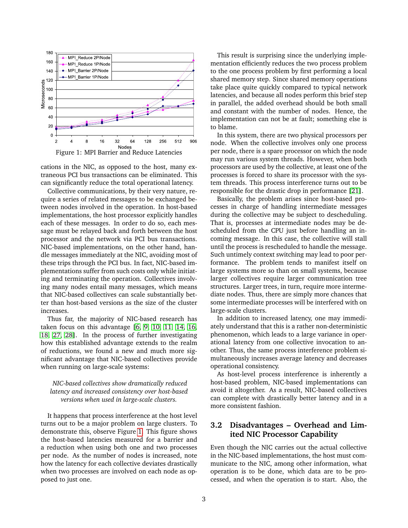

<span id="page-2-0"></span>cations in the NIC, as opposed to the host, many extraneous PCI bus transactions can be eliminated. This can significantly reduce the total operational latency.

Collective communications, by their very nature, require a series of related messages to be exchanged between nodes involved in the operation. In host-based implementations, the host processor explicitly handles each of these messages. In order to do so, each message must be relayed back and forth between the host processor and the network via PCI bus transactions. NIC-based implementations, on the other hand, handle messages immediately at the NIC, avoiding most of these trips through the PCI bus. In fact, NIC-based implementations suffer from such costs only while initiating and terminating the operation. Collectives involving many nodes entail many messages, which means that NIC-based collectives can scale substantially better than host-based versions as the size of the cluster increases.

Thus far, the majority of NIC-based research has taken focus on this advantage [\[6,](#page-14-6) [9,](#page-15-5) [10,](#page-15-6) [11,](#page-15-7) [14,](#page-15-8) [16,](#page-15-9) [18,](#page-15-10) [27,](#page-16-5) [28\]](#page-16-6). In the process of further investigating how this established advantage extends to the realm of reductions, we found a new and much more significant advantage that NIC-based collectives provide when running on large-scale systems:

#### *NIC-based collectives show dramatically reduced latency and increased consistency over host-based versions when used in large-scale clusters.*

It happens that process interference at the host level turns out to be a major problem on large clusters. To demonstrate this, observe Figure [1.](#page-2-0) This figure shows the host-based latencies measured for a barrier and a reduction when using both one and two processes per node. As the number of nodes is increased, note how the latency for each collective deviates drastically when two processes are involved on each node as opposed to just one.

This result is surprising since the underlying implementation efficiently reduces the two process problem to the one process problem by first performing a local shared memory step. Since shared memory operations take place quite quickly compared to typical network latencies, and because all nodes perform this brief step in parallel, the added overhead should be both small and constant with the number of nodes. Hence, the implementation can not be at fault; something else is to blame.

In this system, there are two physical processors per node. When the collective involves only one process per node, there is a spare processor on which the node may run various system threads. However, when both processors are used by the collective, at least one of the processes is forced to share its processor with the system threads. This process interference turns out to be responsible for the drastic drop in performance [\[21\]](#page-16-0).

Basically, the problem arises since host-based processes in charge of handling intermediate messages during the collective may be subject to descheduling. That is, processes at intermediate nodes may be descheduled from the CPU just before handling an incoming message. In this case, the collective will stall until the process is rescheduled to handle the message. Such untimely context switching may lead to poor performance. The problem tends to manifest itself on large systems more so than on small systems, because larger collectives require larger communication tree structures. Larger trees, in turn, require more intermediate nodes. Thus, there are simply more chances that some intermediate processes will be interfered with on large-scale clusters.

In addition to increased latency, one may immediately understand that this is a rather non-deterministic phenomenon, which leads to a large variance in operational latency from one collective invocation to another. Thus, the same process interference problem simultaneously increases average latency and decreases operational consistency.

As host-level process interference is inherently a host-based problem, NIC-based implementations can avoid it altogether. As a result, NIC-based collectives can complete with drastically better latency and in a more consistent fashion.

### **3.2 Disadvantages – Overhead and Limited NIC Processor Capability**

Even though the NIC carries out the actual collective in the NIC-based implementations, the host must communicate to the NIC, among other information, what operation is to be done, which data are to be processed, and when the operation is to start. Also, the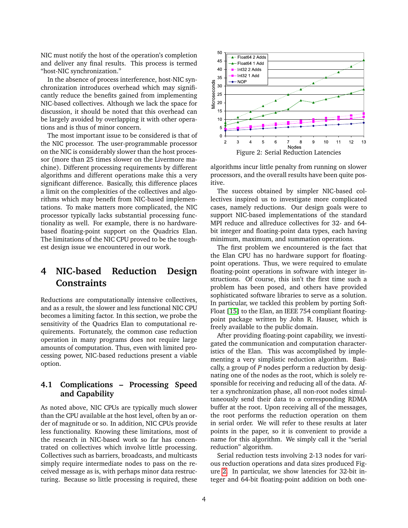NIC must notify the host of the operation's completion and deliver any final results. This process is termed "host-NIC synchronization."

In the absence of process interference, host-NIC synchronization introduces overhead which may significantly reduce the benefits gained from implementing NIC-based collectives. Although we lack the space for discussion, it should be noted that this overhead can be largely avoided by overlapping it with other operations and is thus of minor concern.

The most important issue to be considered is that of the NIC processor. The user-programmable processor on the NIC is considerably slower than the host processor (more than 25 times slower on the Livermore machine). Different processing requirements by different algorithms and different operations make this a very significant difference. Basically, this difference places a limit on the complexities of the collectives and algorithms which may benefit from NIC-based implementations. To make matters more complicated, the NIC processor typically lacks substantial processing functionality as well. For example, there is no hardwarebased floating-point support on the Quadrics Elan. The limitations of the NIC CPU proved to be the toughest design issue we encountered in our work.

# <span id="page-3-0"></span>**4 NIC-based Reduction Design Constraints**

Reductions are computationally intensive collectives, and as a result, the slower and less functional NIC CPU becomes a limiting factor. In this section, we probe the sensitivity of the Quadrics Elan to computational requirements. Fortunately, the common case reduction operation in many programs does not require large amounts of computation. Thus, even with limited processing power, NIC-based reductions present a viable option.

### **4.1 Complications – Processing Speed and Capability**

As noted above, NIC CPUs are typically much slower than the CPU available at the host level, often by an order of magnitude or so. In addition, NIC CPUs provide less functionality. Knowing these limitations, most of the research in NIC-based work so far has concentrated on collectives which involve little processing. Collectives such as barriers, broadcasts, and multicasts simply require intermediate nodes to pass on the received message as is, with perhaps minor data restructuring. Because so little processing is required, these



<span id="page-3-1"></span>algorithms incur little penalty from running on slower processors, and the overall results have been quite positive.

The success obtained by simpler NIC-based collectives inspired us to investigate more complicated cases, namely reductions. Our design goals were to support NIC-based implementations of the standard MPI reduce and allreduce collectives for 32- and 64 bit integer and floating-point data types, each having minimum, maximum, and summation operations.

The first problem we encountered is the fact that the Elan CPU has no hardware support for floatingpoint operations. Thus, we were required to emulate floating-point operations in software with integer instructions. Of course, this isn't the first time such a problem has been posed, and others have provided sophisticated software libraries to serve as a solution. In particular, we tackled this problem by porting Soft-Float [\[15\]](#page-15-11) to the Elan, an IEEE 754 compliant floatingpoint package written by John R. Hauser, which is freely available to the public domain.

After providing floating-point capability, we investigated the communication and computation characteristics of the Elan. This was accomplished by implementing a very simplistic reduction algorithm. Basically, a group of *P* nodes perform a reduction by designating one of the nodes as the root, which is solely responsible for receiving and reducing all of the data. After a synchronization phase, all non-root nodes simultaneously send their data to a corresponding RDMA buffer at the root. Upon receiving all of the messages, the root performs the reduction operation on them in serial order. We will refer to these results at later points in the paper, so it is convenient to provide a name for this algorithm. We simply call it the "serial reduction" algorithm.

Serial reduction tests involving 2-13 nodes for various reduction operations and data sizes produced Figure [2.](#page-3-1) In particular, we show latencies for 32-bit integer and 64-bit floating-point addition on both one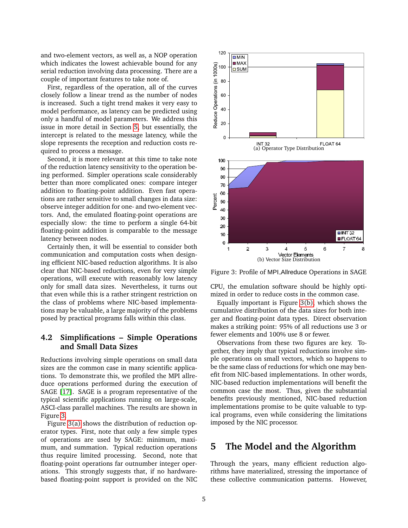and two-element vectors, as well as, a NOP operation which indicates the lowest achievable bound for any serial reduction involving data processing. There are a couple of important features to take note of.

First, regardless of the operation, all of the curves closely follow a linear trend as the number of nodes is increased. Such a tight trend makes it very easy to model performance, as latency can be predicted using only a handful of model parameters. We address this issue in more detail in Section [5,](#page-4-0) but essentially, the intercept is related to the message latency, while the slope represents the reception and reduction costs required to process a message.

Second, it is more relevant at this time to take note of the reduction latency sensitivity to the operation being performed. Simpler operations scale considerably better than more complicated ones: compare integer addition to floating-point addition. Even fast operations are rather sensitive to small changes in data size: observe integer addition for one- and two-element vectors. And, the emulated floating-point operations are especially slow: the time to perform a single 64-bit floating-point addition is comparable to the message latency between nodes.

Certainly then, it will be essential to consider both communication and computation costs when designing efficient NIC-based reduction algorithms. It is also clear that NIC-based reductions, even for very simple operations, will execute with reasonably low latency only for small data sizes. Nevertheless, it turns out that even while this is a rather stringent restriction on the class of problems where NIC-based implementations may be valuable, a large majority of the problems posed by practical programs falls within this class.

### **4.2 Simplifications – Simple Operations and Small Data Sizes**

Reductions involving simple operations on small data sizes are the common case in many scientific applications. To demonstrate this, we profiled the MPI allreduce operations performed during the execution of SAGE [\[17\]](#page-15-12). SAGE is a program representative of the typical scientific applications running on large-scale, ASCI-class parallel machines. The results are shown in Figure [3.](#page-4-1)

Figure [3\(a\)](#page-4-2) shows the distribution of reduction operator types. First, note that only a few simple types of operations are used by SAGE: minimum, maximum, and summation. Typical reduction operations thus require limited processing. Second, note that floating-point operations far outnumber integer operations. This strongly suggests that, if no hardwarebased floating-point support is provided on the NIC

<span id="page-4-3"></span><span id="page-4-2"></span>

<span id="page-4-1"></span>Figure 3: Profile of MPI Allreduce Operations in SAGE

CPU, the emulation software should be highly optimized in order to reduce costs in the common case.

Equally important is Figure [3\(b\),](#page-4-3) which shows the cumulative distribution of the data sizes for both integer and floating-point data types. Direct observation makes a striking point: 95% of all reductions use 3 or fewer elements and 100% use 8 or fewer.

Observations from these two figures are key. Together, they imply that typical reductions involve simple operations on small vectors, which so happens to be the same class of reductions for which one may benefit from NIC-based implementations. In other words, NIC-based reduction implementations will benefit the common case the most. Thus, given the substantial benefits previously mentioned, NIC-based reduction implementations promise to be quite valuable to typical programs, even while considering the limitations imposed by the NIC processor.

### <span id="page-4-0"></span>**5 The Model and the Algorithm**

Through the years, many efficient reduction algorithms have materialized, stressing the importance of these collective communication patterns. However,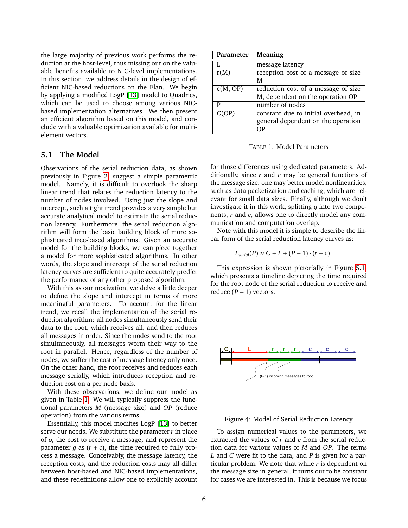the large majority of previous work performs the reduction at the host-level, thus missing out on the valuable benefits available to NIC-level implementations. In this section, we address details in the design of efficient NIC-based reductions on the Elan. We begin by applying a modified LogP [\[13\]](#page-15-13) model to Quadrics, which can be used to choose among various NICbased implementation alternatives. We then present an efficient algorithm based on this model, and conclude with a valuable optimization available for multielement vectors.

#### **5.1 The Model**

Observations of the serial reduction data, as shown previously in Figure [2,](#page-3-1) suggest a simple parametric model. Namely, it is difficult to overlook the sharp linear trend that relates the reduction latency to the number of nodes involved. Using just the slope and intercept, such a tight trend provides a very simple but accurate analytical model to estimate the serial reduction latency. Furthermore, the serial reduction algorithm will form the basic building block of more sophisticated tree-based algorithms. Given an accurate model for the building blocks, we can piece together a model for more sophisticated algorithms. In other words, the slope and intercept of the serial reduction latency curves are sufficient to quite accurately predict the performance of any other proposed algorithm.

With this as our motivation, we delve a little deeper to define the slope and intercept in terms of more meaningful parameters. To account for the linear trend, we recall the implementation of the serial reduction algorithm: all nodes simultaneously send their data to the root, which receives all, and then reduces all messages in order. Since the nodes send to the root simultaneously, all messages worm their way to the root in parallel. Hence, regardless of the number of nodes, we suffer the cost of message latency only once. On the other hand, the root receives and reduces each message serially, which introduces reception and reduction cost on a per node basis.

With these observations, we define our model as given in Table [1.](#page-5-0) We will typically suppress the functional parameters *M* (message size) and *OP* (reduce operation) from the various terms.

Essentially, this model modifies LogP [\[13\]](#page-15-13) to better serve our needs. We substitute the parameter *r* in place of *o*, the cost to receive a message; and represent the parameter  $g$  as  $(r + c)$ , the time required to fully process a message. Conceivably, the message latency, the reception costs, and the reduction costs may all differ between host-based and NIC-based implementations, and these redefinitions allow one to explicitly account

| Parameter | <b>Meaning</b>                       |
|-----------|--------------------------------------|
|           | message latency                      |
| r(M)      | reception cost of a message of size  |
|           | М                                    |
| c(M, OP)  | reduction cost of a message of size  |
|           | M, dependent on the operation OP     |
| P         | number of nodes                      |
| C(OP)     | constant due to initial overhead, in |
|           | general dependent on the operation   |
|           |                                      |

<span id="page-5-0"></span>TABLE 1: Model Parameters

for those differences using dedicated parameters. Additionally, since *r* and *c* may be general functions of the message size, one may better model nonlinearities, such as data packetization and caching, which are relevant for small data sizes. Finally, although we don't investigate it in this work, splitting *g* into two components, *r* and *c*, allows one to directly model any communication and computation overlap.

Note with this model it is simple to describe the linear form of the serial reduction latency curves as:

$$
T_{\text{serial}}(P) \approx C + L + (P - 1) \cdot (r + c)
$$

This expression is shown pictorially in Figure [5.1,](#page-5-0) which presents a timeline depicting the time required for the root node of the serial reduction to receive and reduce  $(P - 1)$  vectors.



Figure 4: Model of Serial Reduction Latency

To assign numerical values to the parameters, we extracted the values of *r* and *c* from the serial reduction data for various values of *M* and *OP*. The terms *L* and *C* were fit to the data, and *P* is given for a particular problem. We note that while *r* is dependent on the message size in general, it turns out to be constant for cases we are interested in. This is because we focus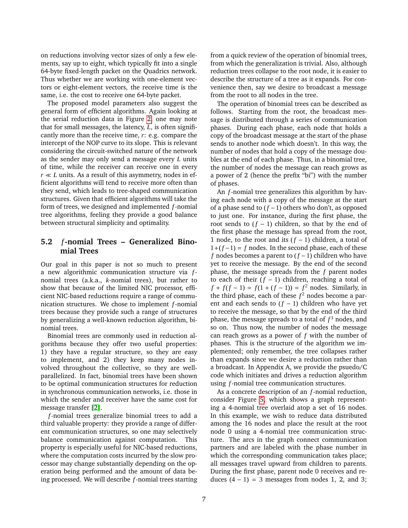on reductions involving vector sizes of only a few elements, say up to eight, which typically fit into a single 64-byte fixed-length packet on the Quadrics network. Thus whether we are working with one-element vectors or eight-element vectors, the receive time is the same, i.e. the cost to receive one 64-byte packet.

The proposed model parameters also suggest the general form of efficient algorithms. Again looking at the serial reduction data in Figure [2,](#page-3-1) one may note that for small messages, the latency, *L*, is often significantly more than the receive time, *r*: e.g. compare the intercept of the NOP curve to its slope. This is relevant considering the circuit-switched nature of the network as the sender may only send a message every *L* units of time, while the receiver can receive one in every  $r \ll L$  units. As a result of this asymmetry, nodes in efficient algorithms will tend to receive more often than they send, which leads to tree-shaped communication structures. Given that efficient algorithms will take the form of trees, we designed and implemented *f*-nomial tree algorithms, feeling they provide a good balance between structural simplicity and optimality.

### **5.2** *f***-nomial Trees – Generalized Binomial Trees**

Our goal in this paper is not so much to present a new algorithmic communication structure via *f*nomial trees (a.k.a., *k*-nomial trees), but rather to show that because of the limited NIC processor, efficient NIC-based reductions require a range of communication structures. We chose to implement *f*-nomial trees because they provide such a range of structures by generalizing a well-known reduction algorithm, binomial trees.

Binomial trees are commonly used in reduction algorithms because they offer two useful properties: 1) they have a regular structure, so they are easy to implement, and 2) they keep many nodes involved throughout the collective, so they are wellparallelized. In fact, binomial trees have been shown to be optimal communication structures for reduction in synchronous communication networks, i.e. those in which the sender and receiver have the same cost for message transfer [\[2\]](#page-14-1).

*f*-nomial trees generalize binomial trees to add a third valuable property: they provide a range of different communication structures, so one may selectively balance communication against computation. This property is especially useful for NIC-based reductions, where the computation costs incurred by the slow processor may change substantially depending on the operation being performed and the amount of data being processed. We will describe *f*-nomial trees starting from a quick review of the operation of binomial trees, from which the generalization is trivial. Also, although reduction trees collapse to the root node, it is easier to describe the structure of a tree as it expands. For convenience then, say we desire to broadcast a message from the root to all nodes in the tree.

The operation of binomial trees can be described as follows. Starting from the root, the broadcast message is distributed through a series of communication phases. During each phase, each node that holds a copy of the broadcast message at the start of the phase sends to another node which doesn't. In this way, the number of nodes that hold a copy of the message doubles at the end of each phase. Thus, in a binomial tree, the number of nodes the message can reach grows as a power of 2 (hence the prefix "bi") with the number of phases.

An *f*-nomial tree generalizes this algorithm by having each node with a copy of the message at the start of a phase send to (*f* −1) others who don't, as opposed to just one. For instance, during the first phase, the root sends to  $(f - 1)$  children, so that by the end of the first phase the message has spread from the root, 1 node, to the root and its (*f* − 1) children, a total of  $1+(f-1) = f$  nodes. In the second phase, each of these *f* nodes becomes a parent to (*f* −1) children who have yet to receive the message. By the end of the second phase, the message spreads from the *f* parent nodes to each of their  $(f - 1)$  children, reaching a total of  $f + f(f - 1) = f(1 + (f - 1)) = f^2$  nodes. Similarly, in the third phase, each of these *f* <sup>2</sup> nodes become a parent and each sends to (*f* − 1) children who have yet to receive the message, so that by the end of the third phase, the message spreads to a total of *f* <sup>3</sup> nodes, and so on. Thus now, the number of nodes the message can reach grows as a power of *f* with the number of phases. This is the structure of the algorithm we implemented; only remember, the tree collapses rather than expands since we desire a reduction rather than a broadcast. In Appendix A, we provide the psuedo/C code which initiates and drives a reduction algorithm using *f*-nomial tree communication structures.

As a concrete description of an *f*-nomial reduction, consider Figure [5,](#page-7-0) which shows a graph representing a 4-nomial tree overlaid atop a set of 16 nodes. In this example, we wish to reduce data distributed among the 16 nodes and place the result at the root node 0 using a 4-nomial tree communication structure. The arcs in the graph connect communication partners and are labeled with the phase number in which the corresponding communication takes place; all messages travel upward from children to parents. During the first phase, parent node 0 receives and reduces  $(4 - 1) = 3$  messages from nodes 1, 2, and 3;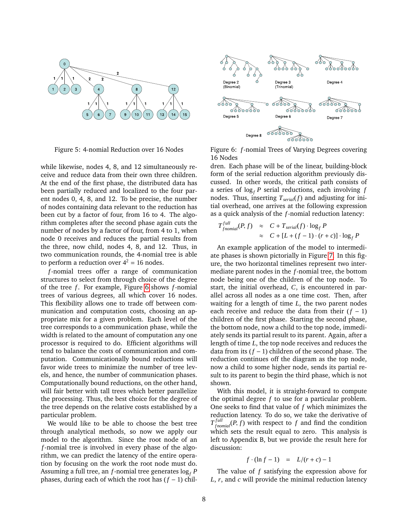

<span id="page-7-0"></span>Figure 5: 4-nomial Reduction over 16 Nodes

while likewise, nodes 4, 8, and 12 simultaneously receive and reduce data from their own three children. At the end of the first phase, the distributed data has been partially reduced and localized to the four parent nodes 0, 4, 8, and 12. To be precise, the number of nodes containing data relevant to the reduction has been cut by a factor of four, from 16 to 4. The algorithm completes after the second phase again cuts the number of nodes by a factor of four, from 4 to 1, when node 0 receives and reduces the partial results from the three, now child, nodes 4, 8, and 12. Thus, in two communication rounds, the 4-nomial tree is able to perform a reduction over  $4^2 = 16$  nodes.

*f*-nomial trees offer a range of communication structures to select from through choice of the degree of the tree *f* . For example, Figure [6](#page-7-1) shows *f*-nomial trees of various degrees, all which cover 16 nodes. This flexibility allows one to trade off between communication and computation costs, choosing an appropriate mix for a given problem. Each level of the tree corresponds to a communication phase, while the width is related to the amount of computation any one processor is required to do. Efficient algorithms will tend to balance the costs of communication and computation. Communicationally bound reductions will favor wide trees to minimize the number of tree levels, and hence, the number of communication phases. Computationally bound reductions, on the other hand, will fair better with tall trees which better parallelize the processing. Thus, the best choice for the degree of the tree depends on the relative costs established by a particular problem.

We would like to be able to choose the best tree through analytical methods, so now we apply our model to the algorithm. Since the root node of an *f*-nomial tree is involved in every phase of the algorithm, we can predict the latency of the entire operation by focusing on the work the root node must do. Assuming a full tree, an *f*-nomial tree generates  $\log_f P$ phases, during each of which the root has (*f* − 1) chil-



<span id="page-7-1"></span>Figure 6: *f*-nomial Trees of Varying Degrees covering 16 Nodes

dren. Each phase will be of the linear, building-block form of the serial reduction algorithm previously discussed. In other words, the critical path consists of a series of  $\log_f P$  serial reductions, each involving  $f$ nodes. Thus, inserting  $T_{\text{serial}}(f)$  and adjusting for initial overhead, one arrives at the following expression as a quick analysis of the *f*-nomial reduction latency:

$$
T_{fnomial}^{full}(P, f) \approx C + T_{serial}(f) \cdot \log_f P
$$
  
 
$$
\approx C + [L + (f - 1) \cdot (r + c)] \cdot \log_f P
$$

An example application of the model to intermediate phases is shown pictorially in Figure [7.](#page-8-0) In this figure, the two horizontal timelines represent two intermediate parent nodes in the *f*-nomial tree, the bottom node being one of the children of the top node. To start, the initial overhead, *C*, is encountered in parallel across all nodes as a one time cost. Then, after waiting for a length of time *L*, the two parent nodes each receive and reduce the data from their  $(f - 1)$ children of the first phase. Starting the second phase, the bottom node, now a child to the top node, immediately sends its partial result to its parent. Again, after a length of time *L*, the top node receives and reduces the data from its (*f* − 1) children of the second phase. The reduction continues off the diagram as the top node, now a child to some higher node, sends its partial result to its parent to begin the third phase, which is not shown.

With this model, it is straight-forward to compute the optimal degree *f* to use for a particular problem. One seeks to find that value of *f* which minimizes the reduction latency. To do so, we take the derivative of  $T_{f nomial}^{full}(P, f)$  with respect to *f* and find the condition which sets the result equal to zero. This analysis is left to Appendix B, but we provide the result here for discussion:

$$
f \cdot (\ln f - 1) = L/(r + c) - 1
$$

The value of *f* satisfying the expression above for *L*, *r*, and *c* will provide the minimal reduction latency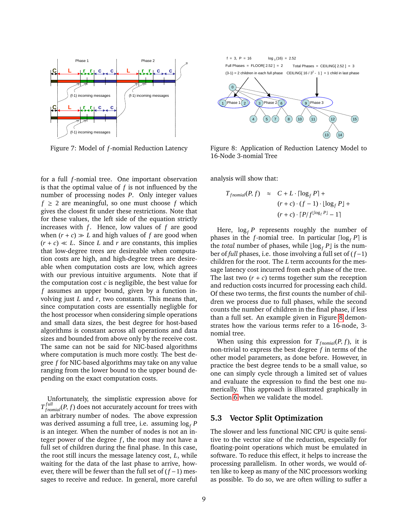

<span id="page-8-0"></span>Figure 7: Model of *f*-nomial Reduction Latency

for a full *f*-nomial tree. One important observation is that the optimal value of *f* is not influenced by the number of processing nodes *P*. Only integer values  $f \geq 2$  are meaningful, so one must choose *f* which gives the closest fit under these restrictions. Note that for these values, the left side of the equation strictly increases with  $f$ . Hence, low values of  $f$  are good when  $(r + c) \gg L$  and high values of f are good when  $(r + c) \ll L$ . Since *L* and *r* are constants, this implies that low-degree trees are desireable when computation costs are high, and high-degree trees are desireable when computation costs are low, which agrees with our previous intuitive arguments. Note that if the computation cost *c* is negligible, the best value for *f* assumes an upper bound, given by a function involving just *L* and *r*, two constants. This means that, since computation costs are essentially negligble for the host processor when considering simple operations and small data sizes, the best degree for host-based algorithms is constant across all operations and data sizes and bounded from above only by the receive cost. The same can not be said for NIC-based algorithms where computation is much more costly. The best degree *f* for NIC-based algorithms may take on any value ranging from the lower bound to the upper bound depending on the exact computation costs.

Unfortunately, the simplistic expression above for  $T_{f nomial}^{full}(P, f)$  does not accurately account for trees with an arbitrary number of nodes. The above expression was derived assuming a full tree, i.e. assuming log*<sup>f</sup> P* is an integer. When the number of nodes is not an integer power of the degree  $f$ , the root may not have a full set of children during the final phase. In this case, the root still incurs the message latency cost, *L*, while waiting for the data of the last phase to arrive, however, there will be fewer than the full set of (*f* −1) messages to receive and reduce. In general, more careful



<span id="page-8-1"></span>Figure 8: Application of Reduction Latency Model to 16-Node 3-nomial Tree

analysis will show that:

$$
T_{\text{fnomial}}(P, f) \approx C + L \cdot \lceil \log_f P \rceil +
$$

$$
(r + c) \cdot (f - 1) \cdot \lfloor \log_f P \rfloor +
$$

$$
(r + c) \cdot \lceil P \rceil f^{\lfloor \log_f P \rfloor} - 1 \rceil
$$

Here,  $\log_f P$  represents roughly the number of phases in the *f*-nomial tree. In particular  $\lceil \log_f P \rceil$  is the *total* number of phases, while  $\lfloor \log_f P \rfloor$  is the number of *full* phases, i.e. those involving a full set of (*f* −1) children for the root. The *L* term accounts for the message latency cost incurred from each phase of the tree. The last two  $(r + c)$  terms together sum the reception and reduction costs incurred for processing each child. Of these two terms, the first counts the number of children we process due to full phases, while the second counts the number of children in the final phase, if less than a full set. An example given in Figure [8](#page-8-1) demonstrates how the various terms refer to a 16-node, 3 nomial tree.

When using this expression for  $T_{\text{fnomial}}(P, f)$ , it is non-trivial to express the best degree *f* in terms of the other model parameters, as done before. However, in practice the best degree tends to be a small value, so one can simply cycle through a limited set of values and evaluate the expression to find the best one numerically. This approach is illustrated graphically in Section [6](#page-9-0) when we validate the model.

#### **5.3 Vector Split Optimization**

The slower and less functional NIC CPU is quite sensitive to the vector size of the reduction, especially for floating-point operations which must be emulated in software. To reduce this effect, it helps to increase the processing parallelism. In other words, we would often like to keep as many of the NIC processors working as possible. To do so, we are often willing to suffer a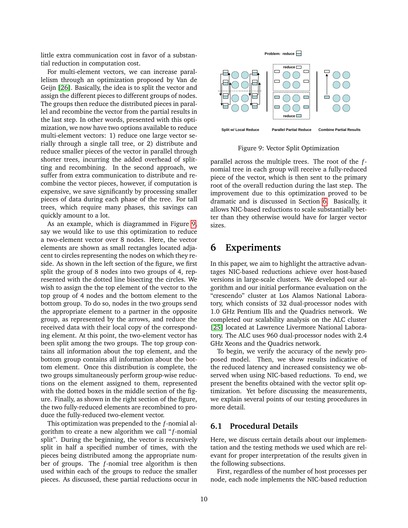little extra communication cost in favor of a substantial reduction in computation cost.

For multi-element vectors, we can increase parallelism through an optimization proposed by Van de Geijn [\[26\]](#page-16-7). Basically, the idea is to split the vector and assign the different pieces to different groups of nodes. The groups then reduce the distributed pieces in parallel and recombine the vector from the partial results in the last step. In other words, presented with this optimization, we now have two options available to reduce multi-element vectors: 1) reduce one large vector serially through a single tall tree, or 2) distribute and reduce smaller pieces of the vector in parallel through shorter trees, incurring the added overhead of splitting and recombining. In the second approach, we suffer from extra communication to distribute and recombine the vector pieces, however, if computation is expensive, we save significantly by processing smaller pieces of data during each phase of the tree. For tall trees, which require many phases, this savings can quickly amount to a lot.

As an example, which is diagrammed in Figure [9,](#page-9-1) say we would like to use this optimization to reduce a two-element vector over 8 nodes. Here, the vector elements are shown as small rectangles located adjacent to circles representing the nodes on which they reside. As shown in the left section of the figure, we first split the group of 8 nodes into two groups of 4, represented with the dotted line bisecting the circles. We wish to assign the the top element of the vector to the top group of 4 nodes and the bottom element to the bottom group. To do so, nodes in the two groups send the appropriate element to a partner in the opposite group, as represented by the arrows, and reduce the received data with their local copy of the corresponding element. At this point, the two-element vector has been split among the two groups. The top group contains all information about the top element, and the bottom group contains all information about the bottom element. Once this distribution is complete, the two groups simultaneously perform group-wise reductions on the element assigned to them, represented with the dotted boxes in the middle section of the figure. Finally, as shown in the right section of the figure, the two fully-reduced elements are recombined to produce the fully-reduced two-element vector.

This optimization was prepended to the *f*-nomial algorithm to create a new algorithm we call " *f*-nomial split". During the beginning, the vector is recursively split in half a specified number of times, with the pieces being distributed among the appropriate number of groups. The *f*-nomial tree algorithm is then used within each of the groups to reduce the smaller pieces. As discussed, these partial reductions occur in



<span id="page-9-1"></span>Figure 9: Vector Split Optimization

parallel across the multiple trees. The root of the *f*nomial tree in each group will receive a fully-reduced piece of the vector, which is then sent to the primary root of the overall reduction during the last step. The improvement due to this optimization proved to be dramatic and is discussed in Section [6.](#page-9-0) Basically, it allows NIC-based reductions to scale substantially better than they otherwise would have for larger vector sizes.

## <span id="page-9-0"></span>**6 Experiments**

In this paper, we aim to highlight the attractive advantages NIC-based reductions achieve over host-based versions in large-scale clusters. We developed our algorithm and our initial performance evaluation on the "crescendo" cluster at Los Alamos National Laboratory, which consists of 32 dual-processor nodes with 1.0 GHz Pentium IIIs and the Quadrics network. We completed our scalability analysis on the ALC cluster [\[25\]](#page-16-1) located at Lawrence Livermore National Laboratory. The ALC uses 960 dual-processor nodes with 2.4 GHz Xeons and the Quadrics network.

To begin, we verify the accuracy of the newly proposed model. Then, we show results indicative of the reduced latency and increased consistency we observed when using NIC-based reductions. To end, we present the benefits obtained with the vector split optimization. Yet before discussing the measurements, we explain several points of our testing procedures in more detail.

#### **6.1 Procedural Details**

Here, we discuss certain details about our implementation and the testing methods we used which are relevant for proper interpretation of the results given in the following subsections.

First, regardless of the number of host processes per node, each node implements the NIC-based reduction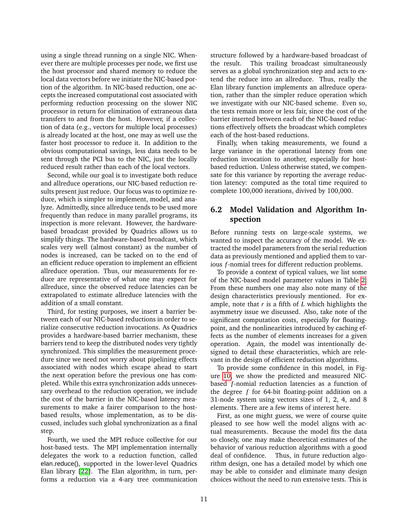using a single thread running on a single NIC. Whenever there are multiple processes per node, we first use the host processor and shared memory to reduce the local data vectors before we initiate the NIC-based portion of the algorithm. In NIC-based reduction, one accepts the increased computational cost associated with performing reduction processing on the slower NIC processor in return for elimination of extraneous data transfers to and from the host. However, if a collection of data (e.g., vectors for multiple local processes) is already located at the host, one may as well use the faster host processor to reduce it. In addition to the obvious computational savings, less data needs to be sent through the PCI bus to the NIC, just the locally reduced result rather than each of the local vectors.

Second, while our goal is to investigate both reduce and allreduce operations, our NIC-based reduction results present just reduce. Our focus was to optimize reduce, which is simpler to implement, model, and analyze. Admittedly, since allreduce tends to be used more frequently than reduce in many parallel programs, its inspection is more relevant. However, the hardwarebased broadcast provided by Quadrics allows us to simplify things. The hardware-based broadcast, which scales very well (almost constant) as the number of nodes is increased, can be tacked on to the end of an efficient reduce operation to implement an efficient allreduce operation. Thus, our measurements for reduce are representative of what one may expect for allreduce, since the observed reduce latencies can be extrapolated to estimate allreduce latencies with the addition of a small constant.

Third, for testing purposes, we insert a barrier between each of our NIC-based reductions in order to serialize consecutive reduction invocations. As Quadrics provides a hardware-based barrier mechanism, these barriers tend to keep the distributed nodes very tightly synchronized. This simplifies the measurement procedure since we need not worry about pipelining effects associated with nodes which escape ahead to start the next operation before the previous one has completed. While this extra synchronization adds unnecessary overhead to the reduction operation, we include the cost of the barrier in the NIC-based latency measurements to make a fairer comparison to the hostbased results, whose implementation, as to be discussed, includes such global synchronization as a final step.

Fourth, we used the MPI reduce collective for our host-based tests. The MPI implementation internally delegates the work to a reduction function, called elan reduce(), supported in the lower-level Quadrics Elan library [\[22\]](#page-16-2). The Elan algorithm, in turn, performs a reduction via a 4-ary tree communication structure followed by a hardware-based broadcast of the result. This trailing broadcast simultaneously serves as a global synchronization step and acts to extend the reduce into an allreduce. Thus, really the Elan library function implements an allreduce operation, rather than the simpler reduce operation which we investigate with our NIC-based scheme. Even so, the tests remain more or less fair, since the cost of the barrier inserted between each of the NIC-based reductions effectively offsets the broadcast which completes each of the host-based reductions.

Finally, when taking measurements, we found a large variance in the operational latency from one reduction invocation to another, especially for hostbased reduction. Unless otherwise stated, we compensate for this variance by reporting the average reduction latency: computed as the total time required to complete 100,000 iterations, divived by 100,000.

### **6.2 Model Validation and Algorithm Inspection**

Before running tests on large-scale systems, we wanted to inspect the accuracy of the model. We extracted the model parameters from the serial reduction data as previously mentioned and applied them to various *f*-nomial trees for different reduction problems.

To provide a context of typical values, we list some of the NIC-based model parameter values in Table [2.](#page-11-0) From these numbers one may also note many of the design characteristics previously mentioned. For example, note that *r* is a fifth of *L* which highlights the asymmetry issue we discussed. Also, take note of the significant computation costs, especially for floatingpoint, and the nonlinearities introduced by caching effects as the number of elements increases for a given operation. Again, the model was intentionally designed to detail these characteristics, which are relevant in the design of efficient reduction algorithms.

To provide some confidence in this model, in Figure [10,](#page-11-1) we show the predicted and measured NICbased *f*-nomial reduction latencies as a function of the degree *f* for 64-bit floating-point addition on a 31-node system using vectors sizes of 1, 2, 4, and 8 elements. There are a few items of interest here.

First, as one might guess, we were of course quite pleased to see how well the model aligns with actual measurements. Because the model fits the data so closely, one may make theoretical estimates of the behavior of various reduction algorithms with a good deal of confidence. Thus, in future reduction algorithm design, one has a detailed model by which one may be able to consider and eliminate many design choices without the need to run extensive tests. This is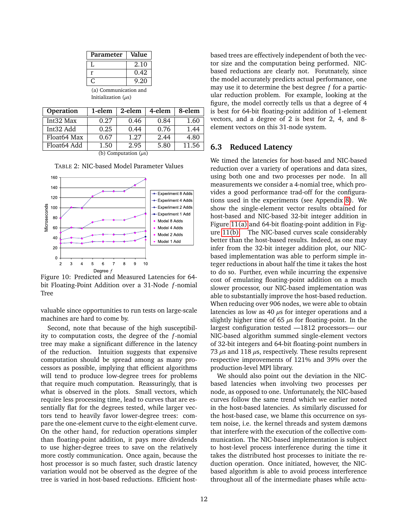| Parameter             | Value |  |
|-----------------------|-------|--|
|                       | 2.10  |  |
| r                     | 0.42  |  |
|                       | 9.20  |  |
| (a) Communication and |       |  |

| (a) Communication al     |  |
|--------------------------|--|
| Initialization $(\mu s)$ |  |
|                          |  |

| <b>Operation</b>          | 1-elem | 2-elem | 4-elem | 8-elem |
|---------------------------|--------|--------|--------|--------|
| Int32 Max                 | 0.27   | 0.46   | 0.84   | 1.60   |
| Int32 Add                 | 0.25   | 0.44   | 0.76   | 1.44   |
| Float64 Max               | 0.67   | 1.27   | 2.44   | 4.80   |
| Float64 Add               | 1.50   | 2.95   | 5.80   | 11.56  |
| (b) Computation $(\mu s)$ |        |        |        |        |

<span id="page-11-0"></span>TABLE 2: NIC-based Model Parameter Values



<span id="page-11-1"></span>Figure 10: Predicted and Measured Latencies for 64 bit Floating-Point Addition over a 31-Node *f*-nomial Tree

valuable since opportunities to run tests on large-scale machines are hard to come by.

Second, note that because of the high susceptibility to computation costs, the degree of the *f*-nomial tree may make a significant difference in the latency of the reduction. Intuition suggests that expensive computation should be spread among as many processors as possible, implying that efficient algorithms will tend to produce low-degree trees for problems that require much computation. Reassuringly, that is what is observed in the plots. Small vectors, which require less processing time, lead to curves that are essentially flat for the degrees tested, while larger vectors tend to heavily favor lower-degree trees: compare the one-element curve to the eight-element curve. On the other hand, for reduction operations simpler than floating-point addition, it pays more dividends to use higher-degree trees to save on the relatively more costly communication. Once again, because the host processor is so much faster, such drastic latency variation would not be observed as the degree of the tree is varied in host-based reductions. Efficient hostbased trees are effectively independent of both the vector size and the computation being performed. NICbased reductions are clearly not. Forutnately, since the model accurately predicts actual performance, one may use it to determine the best degree *f* for a particular reduction problem. For example, looking at the figure, the model correctly tells us that a degree of 4 is best for 64-bit floating-point addition of 1-element vectors, and a degree of 2 is best for 2, 4, and 8 element vectors on this 31-node system.

### **6.3 Reduced Latency**

We timed the latencies for host-based and NIC-based reduction over a variety of operations and data sizes, using both one and two processes per node. In all measurements we consider a 4-nomial tree, which provides a good performance trad-off for the configurations used in the experiments (see Appendix [8\)](#page-18-0). We show the single-element vector results obtained for host-based and NIC-based 32-bit integer addition in Figure [11\(a\)](#page-12-0) and 64-bit floating-point addition in Figure [11\(b\).](#page-12-1) The NIC-based curves scale considerably better than the host-based results. Indeed, as one may infer from the 32-bit integer addition plot, our NICbased implementation was able to perform simple integer reductions in about half the time it takes the host to do so. Further, even while incurring the expensive cost of emulating floating-point addition on a much slower processor, our NIC-based implementation was able to substantially improve the host-based reduction. When reducing over 906 nodes, we were able to obtain latencies as low as 40  $\mu$ s for integer operations and a slightly higher time of 65  $\mu$ s for floating-point. In the largest configuration tested —1812 processors— our NIC-based algorithm summed single-element vectors of 32-bit integers and 64-bit floating-point numbers in 73  $\mu$ s and 118  $\mu$ s, respectively. These results represent respective improvements of 121% and 39% over the production-level MPI library.

We should also point out the deviation in the NICbased latencies when involving two processes per node, as opposed to one. Unfortunately, the NIC-based curves follow the same trend which we earlier noted in the host-based latencies. As similarly discussed for the host-based case, we blame this occurrence on system noise, i.e. the kernel threads and system dæmons that interfere with the execution of the collective communication. The NIC-based implementation is subject to host-level process interference during the time it takes the distributed host processes to initiate the reduction operation. Once initiated, however, the NICbased algorithm is able to avoid process interference throughout all of the intermediate phases while actu-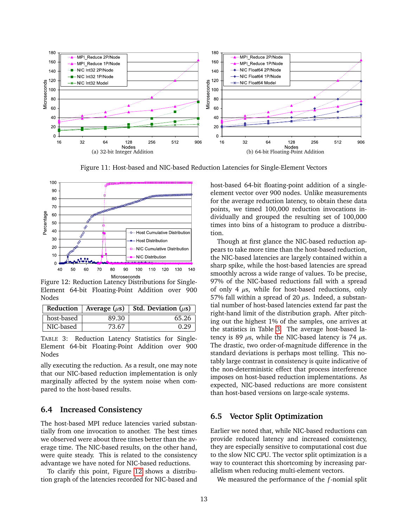<span id="page-12-0"></span>

Figure 11: Host-based and NIC-based Reduction Latencies for Single-Element Vectors



<span id="page-12-2"></span>Figure 12: Reduction Latency Distributions for Single-Element 64-bit Floating-Point Addition over 900 Nodes

|            |       | Reduction   Average $(\mu s)$   Std. Deviation $(\mu s)$ |
|------------|-------|----------------------------------------------------------|
| host-based | 89.30 | 65.26                                                    |
| NIC-based  | 73.67 | 0.29                                                     |

<span id="page-12-3"></span>TABLE 3: Reduction Latency Statistics for Single-Element 64-bit Floating-Point Addition over 900 Nodes

ally executing the reduction. As a result, one may note that our NIC-based reduction implementation is only marginally affected by the system noise when compared to the host-based results.

#### **6.4 Increased Consistency**

The host-based MPI reduce latencies varied substantially from one invocation to another. The best times we observed were about three times better than the average time. The NIC-based results, on the other hand, were quite steady. This is related to the consistency advantage we have noted for NIC-based reductions.

To clarify this point, Figure [12](#page-12-2) shows a distribution graph of the latencies recorded for NIC-based and <span id="page-12-1"></span>host-based 64-bit floating-point addition of a singleelement vector over 900 nodes. Unlike measurements for the average reduction latency, to obtain these data points, we timed 100,000 reduction invocations individually and grouped the resulting set of 100,000 times into bins of a histogram to produce a distribution.

Though at first glance the NIC-based reduction appears to take more time than the host-based reduction, the NIC-based latencies are largely contained within a sharp spike, while the host-based latencies are spread smoothly across a wide range of values. To be precise, 97% of the NIC-based reductions fall with a spread of only 4  $\mu$ s, while for host-based reductions, only 57% fall within a spread of 20  $\mu$ s. Indeed, a substantial number of host-based latencies extend far past the right-hand limit of the distribution graph. After pitching out the highest 1% of the samples, one arrives at the statistics in Table [3.](#page-12-3) The average host-based latency is 89  $\mu$ s, while the NIC-based latency is 74  $\mu$ s. The drastic, two order-of-magnitude difference in the standard deviations is perhaps most telling. This notably large contrast in consistency is quite indicative of the non-deterministic effect that process interference imposes on host-based reduction implementations. As expected, NIC-based reductions are more consistent than host-based versions on large-scale systems.

#### **6.5 Vector Split Optimization**

Earlier we noted that, while NIC-based reductions can provide reduced latency and increased consistency, they are especially sensitive to computational cost due to the slow NIC CPU. The vector split optimization is a way to counteract this shortcoming by increasing parallelism when reducing multi-element vectors.

We measured the performance of the *f*-nomial split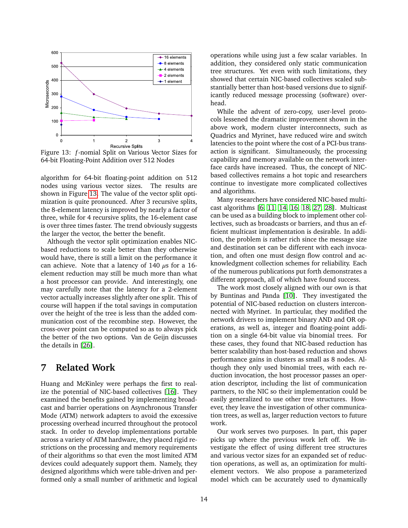

<span id="page-13-1"></span>Figure 13: *f*-nomial Split on Various Vector Sizes for 64-bit Floating-Point Addition over 512 Nodes

algorithm for 64-bit floating-point addition on 512 nodes using various vector sizes. The results are shown in Figure [13.](#page-13-1) The value of the vector split optimization is quite pronounced. After 3 recursive splits, the 8-element latency is improved by nearly a factor of three, while for 4 recursive splits, the 16-element case is over three times faster. The trend obviously suggests the larger the vector, the better the benefit.

Although the vector split optimization enables NICbased reductions to scale better than they otherwise would have, there is still a limit on the performance it can achieve. Note that a latency of 140  $\mu$ s for a 16element reduction may still be much more than what a host processor can provide. And interestingly, one may carefully note that the latency for a 2-element vector actually increases slightly after one split. This of course will happen if the total savings in computation over the height of the tree is less than the added communication cost of the recombine step. However, the cross-over point can be computed so as to always pick the better of the two options. Van de Geijn discusses the details in [\[26\]](#page-16-7).

# <span id="page-13-0"></span>**7 Related Work**

Huang and McKinley were perhaps the first to realize the potential of NIC-based collectives [\[16\]](#page-15-9). They examined the benefits gained by implementing broadcast and barrier operations on Asynchronous Transfer Mode (ATM) network adapters to avoid the excessive processing overhead incurred throughout the protocol stack. In order to develop implementations portable across a variety of ATM hardware, they placed rigid restrictions on the processing and memory requirements of their algorithms so that even the most limited ATM devices could adequately support them. Namely, they designed algorithms which were table-driven and performed only a small number of arithmetic and logical operations while using just a few scalar variables. In addition, they considered only static communication tree structures. Yet even with such limitations, they showed that certain NIC-based collectives scaled substantially better than host-based versions due to significantly reduced message processing (software) overhead.

While the advent of zero-copy, user-level protocols lessened the dramatic improvement shown in the above work, modern cluster interconnects, such as Quadrics and Myrinet, have reduced wire and switch latencies to the point where the cost of a PCI-bus transaction is significant. Simultaneously, the processing capability and memory available on the network interface cards have increased. Thus, the concept of NICbased collectives remains a hot topic and researchers continue to investigate more complicated collectives and algorithms.

Many researchers have considered NIC-based multicast algorithms [\[6,](#page-14-6) [11,](#page-15-7) [14,](#page-15-8) [16,](#page-15-9) [18,](#page-15-10) [27,](#page-16-5) [28\]](#page-16-6). Multicast can be used as a building block to implement other collectives, such as broadcasts or barriers, and thus an efficient multicast implementation is desirable. In addition, the problem is rather rich since the message size and destination set can be different with each invocation, and often one must design flow control and acknowledgment collection schemes for reliability. Each of the numerous publications put forth demonstrates a different approach, all of which have found success.

The work most closely aligned with our own is that by Buntinas and Panda [\[10\]](#page-15-6). They investigated the potential of NIC-based reduction on clusters interconnected with Myrinet. In particular, they modified the network drivers to implement binary AND and OR operations, as well as, integer and floating-point addition on a single 64-bit value via binomial trees. For these cases, they found that NIC-based reduction has better scalability than host-based reduction and shows performance gains in clusters as small as 8 nodes. Although they only used binomial trees, with each reduction invocation, the host processor passes an operation descriptor, including the list of communication partners, to the NIC so their implementation could be easily generalized to use other tree structures. However, they leave the investigation of other communication trees, as well as, larger reduction vectors to future work.

Our work serves two purposes. In part, this paper picks up where the previous work left off. We investigate the effect of using different tree structures and various vector sizes for an expanded set of reduction operations, as well as, an optimization for multielement vectors. We also propose a parameterized model which can be accurately used to dynamically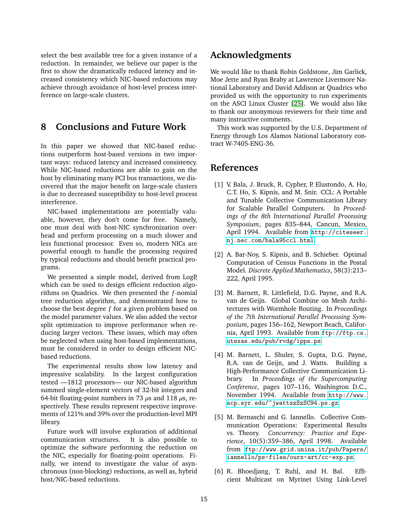select the best available tree for a given instance of a reduction. In remainder, we believe our paper is the first to show the dramatically reduced latency and increased consistency which NIC-based reductions may achieve through avoidance of host-level process interference on large-scale clusters.

# <span id="page-14-5"></span>**8 Conclusions and Future Work**

In this paper we showed that NIC-based reductions outperform host-based versions in two important ways: reduced latency and increased consistency. While NIC-based reductions are able to gain on the host by eliminating many PCI bus transactions, we discovered that the major benefit on large-scale clusters is due to decreased susceptibility to host-level process interference.

NIC-based implementations are potentially valuable, however, they don't come for free. Namely, one must deal with host-NIC synchronization overhead and perform processing on a much slower and less functional processor. Even so, modern NICs are powerful enough to handle the processing required by typical reductions and should benefit practical programs.

We presented a simple model, derived from LogP, which can be used to design efficient reduction algorithms on Quadrics. We then presented the *f*-nomial tree reduction algorithm, and demonstrated how to choose the best degree *f* for a given problem based on the model parameter values. We also added the vector split optimization to improve performance when reducing larger vectors. These issues, which may often be neglected when using host-based implementations, must be considered in order to design efficient NICbased reductions.

The experimental results show low latency and impressive scalability. In the largest configuration tested —1812 processors— our NIC-based algorithm summed single-element vectors of 32-bit integers and 64-bit floating-point numbers in 73  $\mu$ s and 118  $\mu$ s, respectively. These results represent respective improvements of 121% and 39% over the production-level MPI library.

Future work will involve exploration of additional communication structures. It is also possible to optimize the software performing the reduction on the NIC, especially for floating-point operations. Finally, we intend to investigate the value of asynchronous (non-blocking) reductions, as well as, hybrid host/NIC-based reductions.

# **Acknowledgments**

We would like to thank Robin Goldstone, Jim Garlick, Moe Jette and Ryan Braby at Lawrence Livermore National Laboratory and David Addison at Quadrics who provided us with the opportunity to run experiments on the ASCI Linux Cluster [\[25\]](#page-16-1). We would also like to thank our anonymous reviewers for their time and many instructive comments.

This work was supported by the U.S. Department of Energy through Los Alamos National Laboratory contract W-7405-ENG-36.

# **References**

- <span id="page-14-0"></span>[1] V. Bala, J. Bruck, R. Cypher, P. Elustondo, A. Ho, C.T. Ho, S. Kipnis, and M. Snir. CCL: A Portable and Tunable Collective Communication Library for Scalable Parallel Computers. In *Proceedings of the 8th International Parallel Processing Symposium*, pages 835–844, Cancun, Mexico, April 1994. Available from [http://citeseer.](http://citeseer.nj.nec.com/bala95ccl.html) [nj.nec.com/bala95ccl.html](http://citeseer.nj.nec.com/bala95ccl.html).
- <span id="page-14-1"></span>[2] A. Bar-Noy, S. Kipnis, and B. Schieber. Optimal Computation of Census Functions in the Postal Model. *Discrete Applied Mathematics*, 58(3):213– 222, April 1995.
- <span id="page-14-2"></span>[3] M. Barnett, R. Littlefield, D.G. Payne, and R.A. van de Geijn. Global Combine on Mesh Architectures with Wormhole Routing. In *Proceedings of the 7th International Parallel Processing Symposium*, pages 156–162, Newport Beach, California, April 1993. Available from [ftp://ftp.cs.](ftp://ftp.cs.utexas.edu/pub/rvdg/ipps.ps) [utexas.edu/pub/rvdg/ipps.ps](ftp://ftp.cs.utexas.edu/pub/rvdg/ipps.ps).
- <span id="page-14-3"></span>[4] M. Barnett, L. Shuler, S. Gupta, D.G. Payne, R.A. van de Geijn, and J. Watts. Building a High-Performance Collective Communication Library. In *Proceedings of the Supercomputing Conference*, pages 107–116, Washington D.C., November 1994. Available from [http://www.](http://www.scp.syr.edu/~jwattszSzSC94.ps.gz) [scp.syr.edu/~jwattszSzSC94.ps.gz](http://www.scp.syr.edu/~jwattszSzSC94.ps.gz).
- <span id="page-14-4"></span>[5] M. Bernaschi and G. Iannello. Collective Communication Operations: Experimental Results vs. Theory. *Concurrency: Practice and Experience*, 10(5):359–386, April 1998. Available from [ftp://www.grid.unina.it/pub/Papers/](ftp://www.grid.unina.it/pub/Papers/iannello/ps-files/ours-art/cc-exp.ps) [iannello/ps-files/ours-art/cc-exp.ps](ftp://www.grid.unina.it/pub/Papers/iannello/ps-files/ours-art/cc-exp.ps).
- <span id="page-14-6"></span>[6] R. Bhoedjang, T. Ruhl, and H. Bal. Efficient Multicast on Myrinet Using Link-Level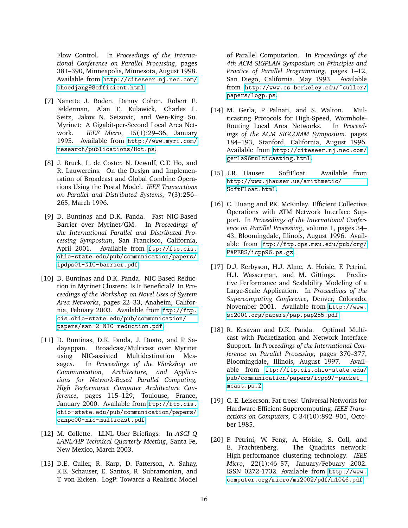Flow Control. In *Proceedings of the International Conference on Parallel Processing*, pages 381–390, Minneapolis, Minnesota, August 1998. Available from [http://citeseer.nj.nec.com/](http://citeseer.nj.nec.com/bhoedjang98efficient.html) [bhoedjang98efficient.html](http://citeseer.nj.nec.com/bhoedjang98efficient.html).

- <span id="page-15-3"></span>[7] Nanette J. Boden, Danny Cohen, Robert E. Felderman, Alan E. Kulawick, Charles L. Seitz, Jakov N. Seizovic, and Wen-King Su. Myrinet: A Gigabit-per-Second Local Area Network. *IEEE Micro*, 15(1):29–36, January 1995. Available from [http://www.myri.com/](http://www.myri.com/research/publications/Hot.ps) [research/publications/Hot.ps](http://www.myri.com/research/publications/Hot.ps).
- <span id="page-15-1"></span>[8] J. Bruck, L. de Coster, N. Dewulf, C.T. Ho, and R. Lauwereins. On the Design and Implementation of Broadcast and Global Combine Operations Using the Postal Model. *IEEE Transactions on Parallel and Distributed Systems*, 7(3):256– 265, March 1996.
- <span id="page-15-5"></span>[9] D. Buntinas and D.K. Panda. Fast NIC-Based Barrier over Myrinet/GM. In *Proceedings of the International Parallel and Distributed Processing Symposium*, San Francisco, California, April 2001. Available from [ftp://ftp.cis.](ftp://ftp.cis.ohio-state.edu/pub/communication/papers/ipdps01-NIC-barrier.pdf) [ohio-state.edu/pub/communication/papers/](ftp://ftp.cis.ohio-state.edu/pub/communication/papers/ipdps01-NIC-barrier.pdf) [ipdps01-NIC-barrier.pdf](ftp://ftp.cis.ohio-state.edu/pub/communication/papers/ipdps01-NIC-barrier.pdf).
- <span id="page-15-6"></span>[10] D. Buntinas and D.K. Panda. NIC-Based Reduction in Myrinet Clusters: Is It Beneficial? In *Proceedings of the Workshop on Novel Uses of System Area Networks*, pages 22–33, Anaheim, California, Febuary 2003. Available from [ftp://ftp.](ftp://ftp.cis.ohio-state.edu/pub/communication/papers/san-2-NIC-reduction.pdf) [cis.ohio-state.edu/pub/communication/](ftp://ftp.cis.ohio-state.edu/pub/communication/papers/san-2-NIC-reduction.pdf) [papers/san-2-NIC-reduction.pdf](ftp://ftp.cis.ohio-state.edu/pub/communication/papers/san-2-NIC-reduction.pdf).
- <span id="page-15-7"></span>[11] D. Buntinas, D.K. Panda, J. Duato, and P. Sadayappan. Broadcast/Multicast over Myrinet using NIC-assisted Multidestination Messages. In *Proceedings of the Workshop on Communication, Architecture, and Applications for Network-Based Parallel Computing, High Performance Computer Architecture Conference*, pages 115–129, Toulouse, France, January 2000. Available from [ftp://ftp.cis.](ftp://ftp.cis.ohio-state.edu/pub/communication/papers/canpc00-nic-multicast.pdf) [ohio-state.edu/pub/communication/papers/](ftp://ftp.cis.ohio-state.edu/pub/communication/papers/canpc00-nic-multicast.pdf) [canpc00-nic-multicast.pdf](ftp://ftp.cis.ohio-state.edu/pub/communication/papers/canpc00-nic-multicast.pdf).
- <span id="page-15-0"></span>[12] M. Collette. LLNL User Briefings. In *ASCI Q LANL/HP Technical Quarterly Meeting*, Santa Fe, New Mexico, March 2003.
- <span id="page-15-13"></span>[13] D.E. Culler, R. Karp, D. Patterson, A. Sahay, K.E. Schauser, E. Santos, R. Subramonian, and T. von Eicken. LogP: Towards a Realistic Model

of Parallel Computation. In *Proceedings of the 4th ACM SIGPLAN Symposium on Principles and Practice of Parallel Programming*, pages 1–12, San Diego, California, May 1993. Available from [http://www.cs.berkeley.edu/~culler/](http://www.cs.berkeley.edu/~culler/papers/logp.ps) [papers/logp.ps](http://www.cs.berkeley.edu/~culler/papers/logp.ps).

- <span id="page-15-8"></span>[14] M. Gerla, P. Palnati, and S. Walton. Multicasting Protocols for High-Speed, Wormhole-Routing Local Area Networks. In *Proceedings of the ACM SIGCOMM Symposium*, pages 184–193, Stanford, California, August 1996. Available from [http://citeseer.nj.nec.com/](http://citeseer.nj.nec.com/gerla96multicasting.html) [gerla96multicasting.html](http://citeseer.nj.nec.com/gerla96multicasting.html).
- <span id="page-15-11"></span>[15] J.R. Hauser. SoftFloat. Available from [http://www.jhauser.us/arithmetic/](http://www.jhauser.us/arithmetic/SoftFloat.html) [SoftFloat.html](http://www.jhauser.us/arithmetic/SoftFloat.html).
- <span id="page-15-9"></span>[16] C. Huang and P.K. McKinley. Efficient Collective Operations with ATM Network Interface Support. In *Proceedings of the International Conference on Parallel Processing*, volume 1, pages 34– 43, Bloomingdale, Illinois, August 1996. Available from [ftp://ftp.cps.msu.edu/pub/crg/](ftp://ftp.cps.msu.edu/pub/crg/PAPERS/icpp96.ps.gz) [PAPERS/icpp96.ps.gz](ftp://ftp.cps.msu.edu/pub/crg/PAPERS/icpp96.ps.gz).
- <span id="page-15-12"></span>[17] D.J. Kerbyson, H.J. Alme, A. Hoisie, F. Petrini, H.J. Wasserman, and M. Gittings. Predictive Performance and Scalability Modeling of a Large-Scale Application. In *Proceedings of the Supercomputing Conference*, Denver, Colorado, November 2001. Available from [http://www.](http://www.sc2001.org/papers/pap.pap255.pdf) [sc2001.org/papers/pap.pap255.pdf](http://www.sc2001.org/papers/pap.pap255.pdf).
- <span id="page-15-10"></span>[18] R. Kesavan and D.K. Panda. Optimal Multicast with Packetization and Network Interface Support. In *Proceedings of the International Conference on Parallel Processing*, pages 370–377, Bloomingdale, Illinois, August 1997. Available from [ftp://ftp.cis.ohio-state.edu/](ftp://ftp.cis.ohio-state.edu/pub/communication/papers/icpp97-packet_mcast.ps.Z) [pub/communication/papers/icpp97-packet\\_](ftp://ftp.cis.ohio-state.edu/pub/communication/papers/icpp97-packet_mcast.ps.Z) [mcast.ps.Z](ftp://ftp.cis.ohio-state.edu/pub/communication/papers/icpp97-packet_mcast.ps.Z).
- <span id="page-15-4"></span>[19] C. E. Leiserson. Fat-trees: Universal Networks for Hardware-Efficient Supercomputing. *IEEE Transactions on Computers*, C-34(10):892–901, October 1985.
- <span id="page-15-2"></span>[20] F. Petrini, W. Feng, A. Hoisie, S. Coll, and E. Frachtenberg. The Quadrics network: High-performance clustering technology. *IEEE Micro*, 22(1):46–57, January/Febuary 2002. ISSN 0272-1732. Available from [http://www.](http://www.computer.org/micro/mi2002/pdf/m1046.pdf) [computer.org/micro/mi2002/pdf/m1046.pdf](http://www.computer.org/micro/mi2002/pdf/m1046.pdf).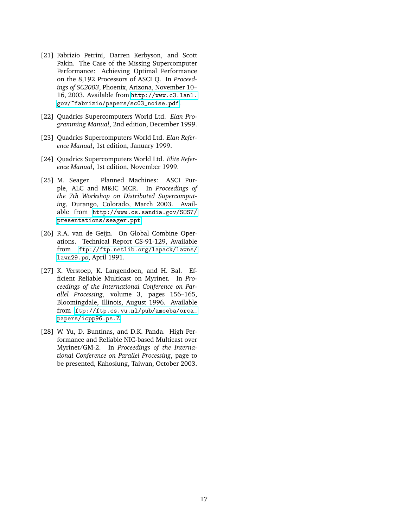- <span id="page-16-0"></span>[21] Fabrizio Petrini, Darren Kerbyson, and Scott Pakin. The Case of the Missing Supercomputer Performance: Achieving Optimal Performance on the 8,192 Processors of ASCI Q. In *Proceedings of SC2003*, Phoenix, Arizona, November 10– 16, 2003. Available from [http://www.c3.lanl.](http://www.c3.lanl.gov/~fabrizio/papers/sc03_noise.pdf) [gov/~fabrizio/papers/sc03\\_noise.pdf](http://www.c3.lanl.gov/~fabrizio/papers/sc03_noise.pdf).
- <span id="page-16-2"></span>[22] Quadrics Supercomputers World Ltd. *Elan Programming Manual*, 2nd edition, December 1999.
- <span id="page-16-3"></span>[23] Quadrics Supercomputers World Ltd. *Elan Reference Manual*, 1st edition, January 1999.
- <span id="page-16-4"></span>[24] Quadrics Supercomputers World Ltd. *Elite Reference Manual*, 1st edition, November 1999.
- <span id="page-16-1"></span>[25] M. Seager. Planned Machines: ASCI Purple, ALC and M&IC MCR. In *Proceedings of the 7th Workshop on Distributed Supercomputing*, Durango, Colorado, March 2003. Available from [http://www.cs.sandia.gov/SOS7/](http://www.cs.sandia.gov/SOS7/presentations/seager.ppt) [presentations/seager.ppt](http://www.cs.sandia.gov/SOS7/presentations/seager.ppt).
- <span id="page-16-7"></span>[26] R.A. van de Geijn. On Global Combine Operations. Technical Report CS-91-129, Available from [ftp://ftp.netlib.org/lapack/lawns/](ftp://ftp.netlib.org/lapack/lawns/lawn29.ps) [lawn29.ps](ftp://ftp.netlib.org/lapack/lawns/lawn29.ps), April 1991.
- <span id="page-16-5"></span>[27] K. Verstoep, K. Langendoen, and H. Bal. Efficient Reliable Multicast on Myrinet. In *Proceedings of the International Conference on Parallel Processing*, volume 3, pages 156–165, Bloomingdale, Illinois, August 1996. Available from [ftp://ftp.cs.vu.nl/pub/amoeba/orca\\_](ftp://ftp.cs.vu.nl/pub/amoeba/orca_papers/icpp96.ps.Z) [papers/icpp96.ps.Z](ftp://ftp.cs.vu.nl/pub/amoeba/orca_papers/icpp96.ps.Z).
- <span id="page-16-6"></span>[28] W. Yu, D. Buntinas, and D.K. Panda. High Performance and Reliable NIC-based Multicast over Myrinet/GM-2. In *Proceedings of the International Conference on Parallel Processing*, page to be presented, Kahosiung, Taiwan, October 2003.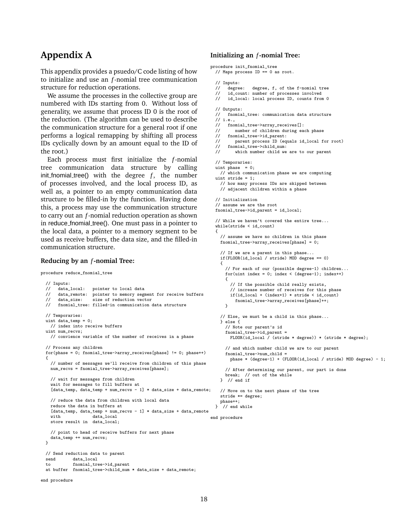# **Appendix A**

This appendix provides a psuedo/C code listing of how to initialize and use an *f*-nomial tree communication structure for reduction operations.

We assume the processes in the collective group are numbered with IDs starting from 0. Without loss of generality, we assume that process ID 0 is the root of the reduction. (The algorithm can be used to describe the communication structure for a general root if one performs a logical remapping by shifting all process IDs cyclically down by an amount equal to the ID of the root.)

Each process must first initialize the *f*-nomial tree communication data structure by calling  $init_function$  fnomial\_tree() with the degree  $f$ , the number of processes involved, and the local process ID, as well as, a pointer to an empty communication data structure to be filled-in by the function. Having done this, a process may use the communication structure to carry out an *f*-nomial reduction operation as shown in reduce fnomial tree(). One must pass in a pointer to the local data, a pointer to a memory segment to be used as receive buffers, the data size, and the filled-in communication structure.

#### **Reducing by an** *f***-nomial Tree:**

procedure reduce\_fnomial\_tree

```
// Inputs:<br>// data local:
 // data_local: pointer to local data<br>// data remote: pointer to memory segne
 // data_remote: pointer to memory segment for receive buffers<br>// data_size: size of reduction vector
                      size of reduction vector
 // fnomial_tree: filled-in communication data structure
 // Temporaries:
 uint data_temp = 0;
    // index into receive buffers
 uint num_recvs;
    // convience variable of the number of receives in a phase
  // Process any children
 for(phase = 0; fnomial tree->array receives[phase] != 0; phase++)
  {
    // number of messages we'll receive from children of this phase
    num_recvs = fnomial_tree->array_receives[phase];
    // wait for messages from children
    wait for messages to fill buffers at
    [data_temp, data_temp + num_recvs - 1] * data_size + data_remote;
    // reduce the data from children with local data
    reduce the data in buffers at
    [data_temp, data_temp + num_recvs - 1] * data_size + data_remote
    with data local
    store result in data_local;
    // point to head of receive buffers for next phase
    data_temp += num_recvs;
 \mathbf{r}// Send reduction data to parent
 send data_local<br>to fnomial_tre
             fnomial tree->id parent
  at buffer fnomial_tree->child_num * data_size + data_remote;
end procedure
```
#### **Initializing an** *f***-nomial Tree:**

```
procedure init_fnomial_tree
  // Maps process ID == 0 as root.
  // Inputs:<br>// degree:
                 degree, f, of the f-nomial tree
  // id_count: number of processes involved<br>// id local: local process ID, counts from
       id_local: local process ID, counts from 0
  // Outputs:
  // fnomial_tree: communication data structure
  \frac{1}{1} i.e.,
  // fnomial_tree->array_receives[]:<br>// number of children during ea
          number of children during each phase
  // fnomial_tree->id_parent:<br>// parent process ID (equ
  // parent process ID (equals id_local for root)<br>// fnomial tree->child num:
  // fnomial_tree->child_num:<br>// which number child we
           which number child we are to our parent
  // Temporaries:
  uint phase = 0:
    // which communication phase we are computing
  uint stride = 1;
    // how many process IDs are skipped between
    // adjacent children within a phase
  // Initialization
  // assume we are the root
  fnomial_tree->id_parent = id_local;
  // While we haven't covered the entire tree...
  while(stride < id_count)
  {
    // assume we have no children in this phase
    fnomial_tree->array_receives[phase] = 0;
    // If we are a parent in this phase...
    if(FLOOR(id_local / stride) MOD degree == 0)
     {
       // For each of our (possible degree-1) children...
       for(uint index = 0; index < (degree-1); index ++)
       {
         // If the possible child really exists,
         // increase number of receives for this phase
         if(id local + (index+1) * stride \leq id count)
           fnomial_tree->array_receives[phase]++;
      }
    // Else, we must be a child in this phase...
    } else {
       // Note our parent's id
       fnomial_tree->id_parent =
         FLOOR(id_local / (stride * degree)) * (stride * degree);
       // and which number child we are to our parent
       fnomial_tree->num_child =
         phase * (degree-1) + (FLOOR(id_local / stride) MOD degree) - 1;
       // After determining our parent, our part is done
       break; // out of the while
    } // end if
    // Move on to the next phase of the tree
    stride *= degree;
    phase++;
  } // end while
end procedure
```